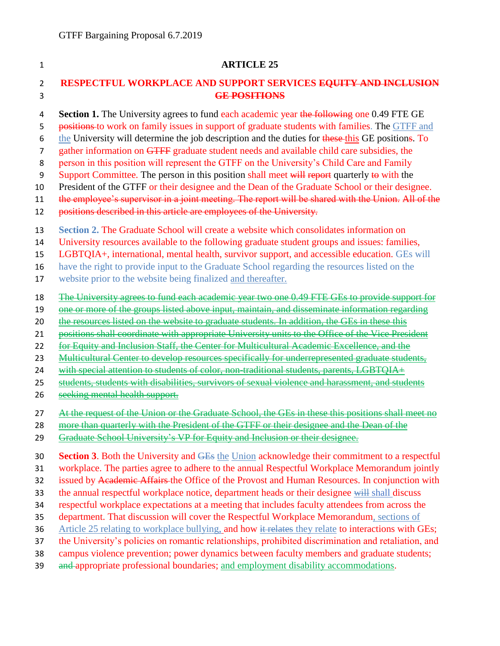## 1 **ARTICLE 25** 2 **RESPECTFUL WORKPLACE AND SUPPORT SERVICES EQUITY AND INCLUSION**  3 **GE POSITIONS** 4 **Section 1.** The University agrees to fund each academic year the following one 0.49 FTE GE 5 positions to work on family issues in support of graduate students with families. The GTFF and 6 the University will determine the job description and the duties for these this GE positions. To 7 gather information on GTFF graduate student needs and available child care subsidies, the 8 person in this position will represent the GTFF on the University's Child Care and Family 9 Support Committee. The person in this position shall meet will report quarterly to with the 10 President of the GTFF or their designee and the Dean of the Graduate School or their designee. 11 the employee's supervisor in a joint meeting. The report will be shared with the Union. All of the 12 positions described in this article are employees of the University. 13 **Section 2.** The Graduate School will create a website which consolidates information on 14 University resources available to the following graduate student groups and issues: families, 15 LGBTQIA+, international, mental health, survivor support, and accessible education. GEs will 16 have the right to provide input to the Graduate School regarding the resources listed on the 17 website prior to the website being finalized and thereafter. 18 The University agrees to fund each academic year two one 0.49 FTE GEs to provide support for 19 one or more of the groups listed above input, maintain, and disseminate information regarding 20 the resources listed on the website to graduate students. In addition, the GEs in these this 21 positions shall coordinate with appropriate University units to the Office of the Vice President 22 for Equity and Inclusion Staff, the Center for Multicultural Academic Excellence, and the 23 Multicultural Center to develop resources specifically for underrepresented graduate students, 24 with special attention to students of color, non-traditional students, parents, LGBTQIA+ 25 students, students with disabilities, survivors of sexual violence and harassment, and students 26 seeking mental health support. 27 At the request of the Union or the Graduate School, the GEs in these this positions shall meet no 28 more than quarterly with the President of the GTFF or their designee and the Dean of the 29 Graduate School University's VP for Equity and Inclusion or their designee. 30 **Section 3**. Both the University and GEs the Union acknowledge their commitment to a respectful 31 workplace. The parties agree to adhere to the annual Respectful Workplace Memorandum jointly 32 issued by Academic Affairs the Office of the Provost and Human Resources. In conjunction with 33 the annual respectful workplace notice, department heads or their designee will shall discuss 34 respectful workplace expectations at a meeting that includes faculty attendees from across the 35 department. That discussion will cover the Respectful Workplace Memorandum, sections of 36 Article 25 relating to workplace bullying, and how it relates they relate to interactions with GEs; 37 the University's policies on romantic relationships, prohibited discrimination and retaliation, and 38 campus violence prevention; power dynamics between faculty members and graduate students;

39 and appropriate professional boundaries; and employment disability accommodations.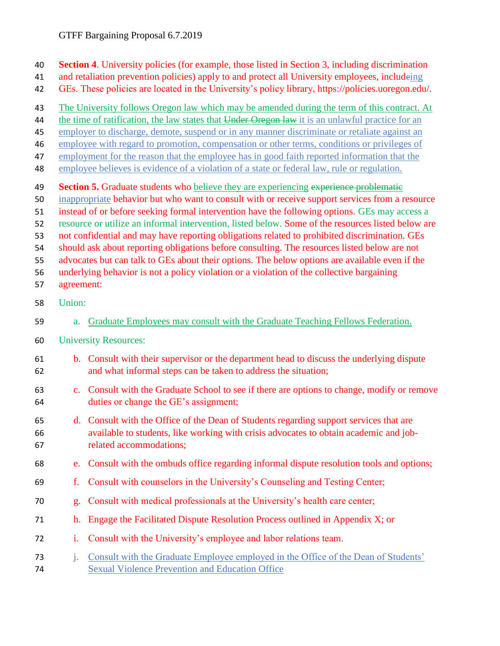- **Section 4**. University policies (for example, those listed in Section 3, including discrimination
- and retaliation prevention policies) apply to and protect all University employees, includeing
- GEs. These policies are located in the University's policy library, https://policies.uoregon.edu/.
- The University follows Oregon law which may be amended during the term of this contract. At
- 44 the time of ratification, the law states that Under Oregon law it is an unlawful practice for an
- employer to discharge, demote, suspend or in any manner discriminate or retaliate against an
- employee with regard to promotion, compensation or other terms, conditions or privileges of
- employment for the reason that the employee has in good faith reported information that the
- employee believes is evidence of a violation of a state or federal law, rule or regulation.
- **Section 5.** Graduate students who believe they are experiencing experience problematic
- inappropriate behavior but who want to consult with or receive support services from a resource
- instead of or before seeking formal intervention have the following options. GEs may access a
- resource or utilize an informal intervention, listed below. Some of the resources listed below are
- not confidential and may have reporting obligations related to prohibited discrimination. GEs
- should ask about reporting obligations before consulting. The resources listed below are not
- advocates but can talk to GEs about their options. The below options are available even if the
- underlying behavior is not a policy violation or a violation of the collective bargaining
- agreement:
- Union:
- a. Graduate Employees may consult with the Graduate Teaching Fellows Federation.
- University Resources:
- b. Consult with their supervisor or the department head to discuss the underlying dispute and what informal steps can be taken to address the situation;
- c. Consult with the Graduate School to see if there are options to change, modify or remove duties or change the GE's assignment;
- d. Consult with the Office of the Dean of Students regarding support services that are available to students, like working with crisis advocates to obtain academic and job-related accommodations;
- e. Consult with the ombuds office regarding informal dispute resolution tools and options;
- f. Consult with counselors in the University's Counseling and Testing Center;
- g. Consult with medical professionals at the University's health care center;
- h. Engage the Facilitated Dispute Resolution Process outlined in Appendix X; or
- i. Consult with the University's employee and labor relations team.
- j. Consult with the Graduate Employee employed in the Office of the Dean of Students' Sexual Violence Prevention and Education Office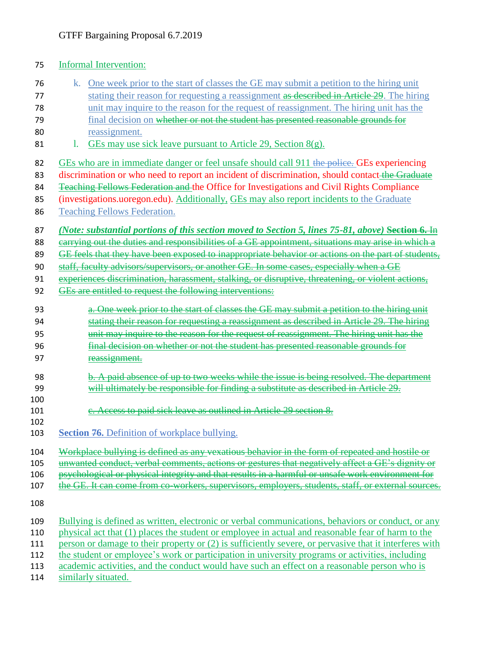## Informal Intervention: k. One week prior to the start of classes the GE may submit a petition to the hiring unit 77 stating their reason for requesting a reassignment as described in Article 29. The hiring unit may inquire to the reason for the request of reassignment. The hiring unit has the final decision on whether or not the student has presented reasonable grounds for reassignment. 81 l. GEs may use sick leave pursuant to Article 29, Section  $8(g)$ . 82 GEs who are in immediate danger or feel unsafe should call 911 the police. GEs experiencing 83 discrimination or who need to report an incident of discrimination, should contact the Graduate Teaching Fellows Federation and the Office for Investigations and Civil Rights Compliance (investigations.uoregon.edu). Additionally, GEs may also report incidents to the Graduate Teaching Fellows Federation. *(Note: substantial portions of this section moved to Section 5, lines 75-81, above)* Section 6. In 88 carrying out the duties and responsibilities of a GE appointment, situations may arise in which a 89 GE feels that they have been exposed to inappropriate behavior or actions on the part of students, staff, faculty advisors/supervisors, or another GE. In some cases, especially when a GE experiences discrimination, harassment, stalking, or disruptive, threatening, or violent actions, GEs are entitled to request the following interventions: 93 a. One week prior to the start of classes the GE may submit a petition to the hiring unit stating their reason for requesting a reassignment as described in Article 29. The hiring unit may inquire to the reason for the request of reassignment. The hiring unit has the final decision on whether or not the student has presented reasonable grounds for reassignment. b. A paid absence of up to two weeks while the issue is being resolved. The department will ultimately be responsible for finding a substitute as described in Article 29. **c.** Access to paid sick leave as outlined in Article 29 section 8. **Section 76.** Definition of workplace bullying. Workplace bullying is defined as any vexatious behavior in the form of repeated and hostile or unwanted conduct, verbal comments, actions or gestures that negatively affect a GE's dignity or psychological or physical integrity and that results in a harmful or unsafe work environment for 107 the GE. It can come from co-workers, supervisors, employers, students, staff, or external sources. Bullying is defined as written, electronic or verbal communications, behaviors or conduct, or any physical act that (1) places the student or employee in actual and reasonable fear of harm to the 111 person or damage to their property or (2) is sufficiently severe, or pervasive that it interferes with the student or employee's work or participation in university programs or activities, including academic activities, and the conduct would have such an effect on a reasonable person who is 114 similarly situated.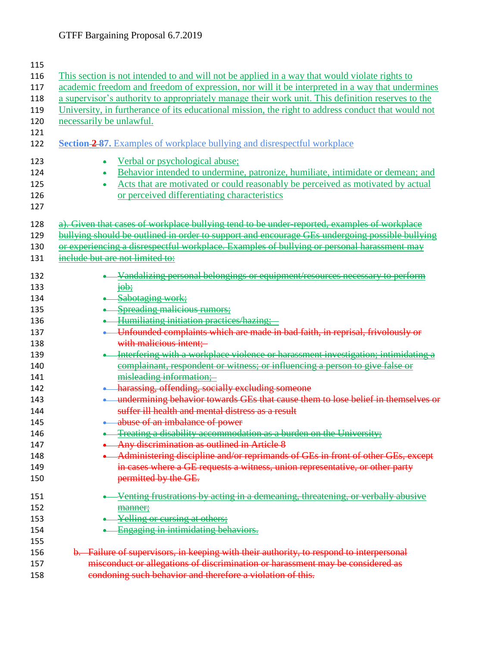| This section is not intended to and will not be applied in a way that would violate rights to      |
|----------------------------------------------------------------------------------------------------|
| academic freedom and freedom of expression, nor will it be interpreted in a way that undermines    |
| a supervisor's authority to appropriately manage their work unit. This definition reserves to the  |
| University, in furtherance of its educational mission, the right to address conduct that would not |
| necessarily be unlawful.                                                                           |
|                                                                                                    |
| <b>Section 2-87.</b> Examples of workplace bullying and disrespectful workplace                    |
| Verbal or psychological abuse;<br>۰                                                                |
| Behavior intended to undermine, patronize, humiliate, intimidate or demean; and                    |
| Acts that are motivated or could reasonably be perceived as motivated by actual<br>٠               |
| or perceived differentiating characteristics                                                       |
|                                                                                                    |
| a). Given that cases of workplace bullying tend to be under-reported, examples of workplace        |
| bullying should be outlined in order to support and encourage GEs undergoing possible bullying     |
| or experiencing a disrespectful workplace. Examples of bullying or personal harassment may         |
| include but are not limited to:                                                                    |
|                                                                                                    |
| -Vandalizing personal belongings or equipment/resources necessary to perform                       |
| $\frac{1}{1}$                                                                                      |
| Sabotaging work;                                                                                   |
| • Spreading malicious rumors;                                                                      |
| Humiliating initiation practices/hazing;                                                           |
| • Unfounded complaints which are made in bad faith, in reprisal, frivolously or                    |
| with malicious intent;                                                                             |
| Interfering with a workplace violence or harassment investigation; intimidating a                  |
| complainant, respondent or witness; or influencing a person to give false or                       |
| misleading information;                                                                            |
| • harassing, offending, socially excluding someone                                                 |
| . undermining behavior towards GEs that cause them to lose belief in themselves or                 |
| suffer ill health and mental distress as a result                                                  |
| <b>Allet a</b> abuse of an imbalance of power                                                      |
| <b>Treating a disability accommodation as a burden on the University;</b>                          |
| Any discrimination as outlined in Article 8                                                        |
| Administering discipline and/or reprimands of GEs in front of other GEs, except                    |
| in cases where a GE requests a witness, union representative, or other party                       |
| permitted by the GE.                                                                               |
| Venting frustrations by acting in a demeaning, threatening, or verbally abusive                    |
| manner;                                                                                            |
| Yelling or cursing at others;                                                                      |
| Engaging in intimidating behaviors.                                                                |
|                                                                                                    |
| b. Failure of supervisors, in keeping with their authority, to respond to interpersonal            |
| misconduct or allegations of discrimination or harassment may be considered as                     |
| condoning such behavior and therefore a violation of this.                                         |
|                                                                                                    |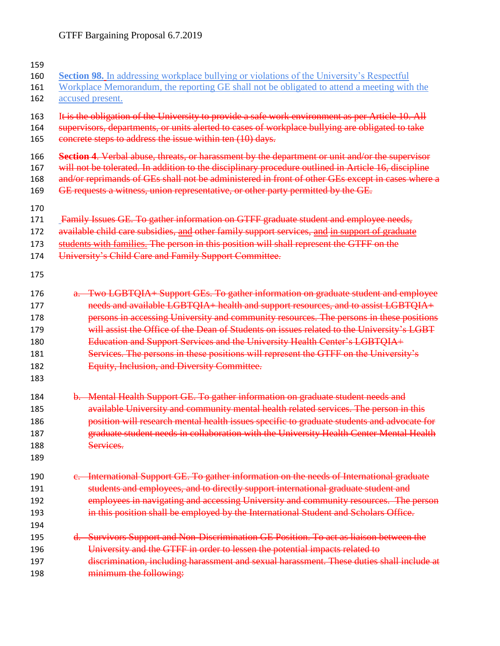| 159                                    |                                                                                                                                                                                                                                                                                                                                                                                                                                                |
|----------------------------------------|------------------------------------------------------------------------------------------------------------------------------------------------------------------------------------------------------------------------------------------------------------------------------------------------------------------------------------------------------------------------------------------------------------------------------------------------|
| 160                                    | <b>Section 98.</b> In addressing workplace bullying or violations of the University's Respectful                                                                                                                                                                                                                                                                                                                                               |
| 161<br>162                             | Workplace Memorandum, the reporting GE shall not be obligated to attend a meeting with the<br>accused present.                                                                                                                                                                                                                                                                                                                                 |
|                                        |                                                                                                                                                                                                                                                                                                                                                                                                                                                |
| 163<br>164<br>165                      | It is the obligation of the University to provide a safe work environment as per Article 10. All<br>supervisors, departments, or units alerted to cases of workplace bullying are obligated to take<br>concrete steps to address the issue within ten (10) days.                                                                                                                                                                               |
| 166<br>167<br>168<br>169               | Section 4. Verbal abuse, threats, or harassment by the department or unit and/or the supervisor<br>will not be tolerated. In addition to the disciplinary procedure outlined in Article 16, discipline<br>and/or reprimands of GEs shall not be administered in front of other GEs except in cases where a<br>GE requests a witness, union representative, or other party permitted by the GE.                                                 |
| 170<br>171<br>172<br>173<br>174<br>175 | Family Issues GE. To gather information on GTFF graduate student and employee needs,<br>available child care subsidies, and other family support services, and in support of graduate<br>students with families. The person in this position will shall represent the GTFF on the<br>University's Child Care and Family Support Committee.                                                                                                     |
| 176<br>177<br>178<br>179<br>180        | a. Two LGBTQIA+ Support GEs. To gather information on graduate student and employee<br>needs and available LGBTQIA+ health and support resources, and to assist LGBTQIA+<br>persons in accessing University and community resources. The persons in these positions<br>will assist the Office of the Dean of Students on issues related to the University's LGBT<br>Education and Support Services and the University Health Center's LGBTQIA+ |
| 181<br>182<br>183                      | Services. The persons in these positions will represent the GTFF on the University's<br>Equity, Inclusion, and Diversity Committee.                                                                                                                                                                                                                                                                                                            |
| 184<br>185<br>186<br>187<br>188<br>189 | b. Mental Health Support GE. To gather information on graduate student needs and<br>available University and community mental health related services. The person in this<br>position will research mental health issues specific to graduate students and advocate for<br>graduate student needs in collaboration with the University Health Center Mental Health<br>Services.                                                                |
| 190<br>191<br>192<br>193<br>194        | e. International Support GE. To gather information on the needs of International graduate<br>students and employees, and to directly support international graduate student and<br>employees in navigating and accessing University and community resources. The person<br>in this position shall be employed by the International Student and Scholars Office.                                                                                |
| 195<br>196<br>197<br>198               | d. Survivors Support and Non-Discrimination GE Position. To act as liaison between the<br>University and the GTFF in order to lessen the potential impacts related to<br>discrimination, including harassment and sexual harassment. These duties shall include at<br>minimum the following:                                                                                                                                                   |